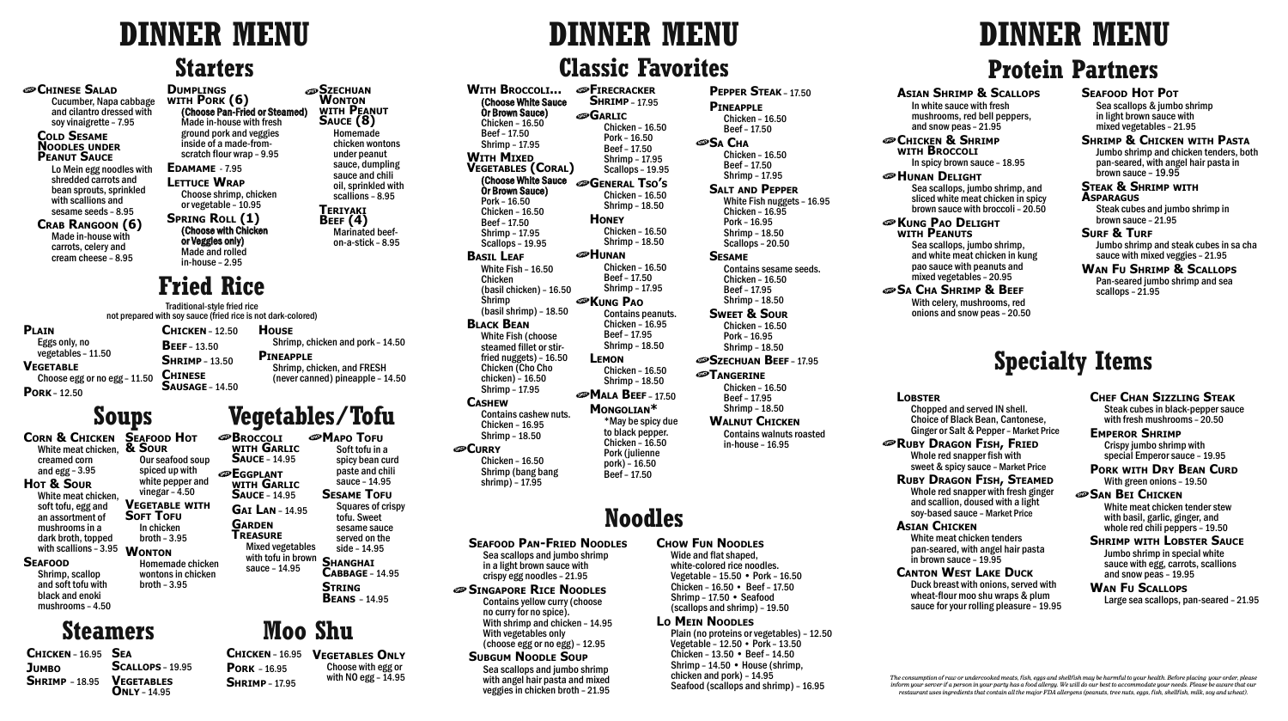**SZECHUAN Wonton with Peanut Sauce (8) Homemade chicken wontons under peanut sauce, dumpling sauce and chili oil, sprinkled with scallions – 8.95**

> **Teriyaki Beef (4)**

> > **Marinated beefon-a-stick – 8.95**

**Corn & Chicken Seafood Hot White meat chicken, creamed corn and egg – 3.95 Hot & Sour White meat chicken, soft tofu, egg and an assortment of mushrooms in a dark broth, topped with scallions – 3.95 Seafood**

#### **Shrimp, scallop and soft tofu with black and enoki**

**mushrooms – 4.50**

**& Sour Our seafood soup spiced up with white pepper and vinegar – 4.50 Vegetable with SOFT TOFU In chicken broth – 3.95 WONTON Homemade chicken wontons in chicken broth – 3.95**

# **Starters**

### **CHINESE SALAD**

# **Vegetables/Tofu**

**Broccoli with Garlic Sauce – 14.95 Eggplant with Garlic Sauce – 14.95 Gai Lan – 14.95 Garden Treasure Mixed vegetables with tofu in brown sauce – 14.95**

**Mapo Tofu Soft tofu in a** 

> **spicy bean curd paste and chili sauce – 14.95 Sesame Tofu Squares of crispy tofu. Sweet sesame sauce**

**served on the side – 14.95 Shanghai Cabbage – 14.95**

**String Beans – 14.95**

# **Fried Rice**

# **Classic Favorites**

## **Seafood Pan-Fried Noodles**

**Sea scallops and jumbo shrimp in a light brown sauce with crispy egg noodles – 21.95**

**Singapore Rice Noodles Contains yellow curry (choose no curry for no spice). With shrimp and chicken – 14.95 With vegetables only (choose egg or no egg) – 12.95**

#### **Subgum Noodle Soup Sea scallops and jumbo shrimp with angel hair pasta and mixed veggies in chicken broth – 21.95**

## **Chow Fun Noodles**

**Wide and flat shaped, white-colored rice noodles. Vegetable – 15.50 • Pork – 16.50 Chicken – 16.50 • Beef – 17.50 Shrimp – 17.50 • Seafood (scallops and shrimp) – 19.50**

## **Lo Mein Noodles**

**Plain (no proteins or vegetables) – 12.50 Vegetable – 12.50 • Pork – 13.50 Chicken – 13.50 • Beef – 14.50 Shrimp – 14.50 • House (shrimp, chicken and pork) – 14.95 Seafood (scallops and shrimp) – 16.95**

# **Protein Partners**

*The consumption of raw or undercooked meats, fish, eggs and shellfish may be harmful to your health. Before placing your order, please inform your server if a person in your party has a food allergy. We will do our best to accommodate your needs. Please be aware that our restaurant uses ingredients that contain all the major FDA allergens (peanuts, tree nuts, eggs, fish, shellfish, milk, soy and wheat).*

### **Seafood Hot Pot**

**Sea scallops & jumbo shrimp in light brown sauce with mixed vegetables – 21.95**

#### **Shrimp & Chicken with Pasta**

**Jumbo shrimp and chicken tenders, both pan-seared, with angel hair pasta in brown sauce – 19.95**

#### **Steak & Shrimp with Asparagus**

**Steak cubes and jumbo shrimp in brown sauce – 21.95**

#### **Surf & Turf**

**Jumbo shrimp and steak cubes in sa cha sauce with mixed veggies – 21.95**

#### **Wan Fu Shrimp & Scallops**

**Pan-seared jumbo shrimp and sea scallops – 21.95**

# **Specialty Items**

**Lobster**

**LETTUCE WRAP Choose shrimp, chicken or vegetable – 10.95**

> **Chopped and served IN shell. Choice of Black Bean, Cantonese, Ginger or Salt & Pepper – Market Price**

#### **Ruby Dragon Fish, Fried**

**Whole red snapper fish with sweet & spicy sauce – Market Price Ruby Dragon Fish, Steamed**

**Whole red snapper with fresh ginger and scallion, doused with a light soy-based sauce – Market Price**

#### **Asian Chicken**

**White meat chicken tenders pan-seared, with angel hair pasta in brown sauce – 19.95**

**Canton West Lake Duck**

**Duck breast with onions, served with wheat-flour moo shu wraps & plum sauce for your rolling pleasure – 19.95**

#### **Chef Chan Sizzling Steak Steak cubes in black-pepper sauce**

**with fresh mushrooms – 20.50**

#### **Emperor Shrimp Crispy jumbo shrimp with special Emperor sauce – 19.95**

**Pork with Dry Bean Curd With green onions – 19.50**

#### **San Bei Chicken White meat chicken tender stew with basil, garlic, ginger, and whole red chili peppers – 19.50**

**ADD** TANGERINE **Chicken – 16.50 Beef – 17.95**

#### **Shrimp with Lobster Sauce Jumbo shrimp in special white sauce with egg, carrots, scallions and snow peas – 19.95**

**CHICKEN & SHRIMP with Broccoli In spicy brown sauce – 18.95 Hunan Delight**

#### **Wan Fu Scallops Large sea scallops, pan-seared – 21.95**

**Noodles With Broccoli... (Choose White Sauce Or Brown Sauce) Chicken – 16.50 Beef – 17.50 Shrimp – 17.95 WITH MIXED Vegetables (Coral) (Choose White Sauce General Tso's Or Brown Sauce) Pork – 16.50 Chicken – 16.50 Beef – 17.50 Shrimp – 17.95 Scallops – 19.95 Basil Leaf White Fish – 16.50 Chicken (basil chicken) – 16.50 Shrimp (basil shrimp) – 18.50 Black Bean White Fish (choose steamed fillet or stirfried nuggets) – 16.50 Chicken (Cho Cho chicken) – 16.50 Shrimp – 17.95 Cashew Contains cashew nuts. Chicken – 16.95 Shrimp – 18.50 Curry Chicken – 16.50 Shrimp (bang bang shrimp) – 17.95 EIRECRACKER Shrimp – 17.95 Garlic Chicken – 16.50 Pork – 16.50 Beef – 17.50 Shrimp – 17.95 Scallops – 19.95 Chicken – 16.50 Shrimp – 18.50 Honey Chicken – 16.50 Shrimp – 18.50 Hunan Chicken – 16.50 Beef – 17.50 Shrimp – 17.95 Kung Pao Contains peanuts. Chicken – 16.95 Beef – 17.95 Shrimp – 18.50 Lemon Chicken – 16.50 Shrimp – 18.50 Mala Beef – 17.50 Mongolian\* \*May be spicy due to black pepper. Chicken – 16.50 Pork (julienne pork) – 16.50 Beef – 17.50**

**Pork – 16.95 Shrimp – 17.95**

**Chicken – 16.95 Vegetables Only Choose with egg or with NO egg – 14.95**

# **Steamers Moo Shu**

**Soups**

**Chicken – 16.95 Sea JUMBO Shrimp – 18.95 Scallops – 19.95 Vegetables Only – 14.95**

**Plain Eggs only, no vegetables – 11.50 Vegetable Choose egg or no egg – 11.50 Pork – 12.50**

**Chicken – 12.50 Beef – 13.50 Shrimp – 13.50 Chinese Sausage – 14.50 House Shrimp, chicken and pork – 14.50**

## **Pineapple Shrimp, chicken, and FRESH (never canned) pineapple – 14.50**

**Cucumber, Napa cabbage and cilantro dressed with soy vinaigrette – 7.95**

#### **Cold Sesame Noodles under Peanut Sauce**

**Lo Mein egg noodles with shredded carrots and bean sprouts, sprinkled with scallions and sesame seeds – 8.95**

**Crab Rangoon (6) Made in-house with carrots, celery and cream cheese – 8.95**

#### **Dumplings with Pork (6) (Choose Pan-Fried or Steamed) Made in-house with fresh ground pork and veggies inside of a made-fromscratch flour wrap – 9.95 Edamame - 7.95**

**Spring Roll (1) (Choose with Chicken or Veggies only) Made and rolled** 

**in-house – 2.95**

**Pepper Steak – 17.50 Pineapple Chicken – 16.50**

**Beef – 17.50 Sa Cha Chicken – 16.50 Beef – 17.50 Shrimp – 17.95**

> **Salt and Pepper White Fish nuggets – 16.95 Chicken – 16.95 Pork – 16.95 Shrimp – 18.50 Scallops – 20.50**

**Sesame Contains sesame seeds. Chicken – 16.50 Beef – 17.95 Shrimp – 18.50**

**Sweet & Sour Chicken – 16.50 Pork – 16.95 Shrimp – 18.50**

**Szechuan Beef – 17.95**

**Shrimp – 18.50 Walnut Chicken**

**Contains walnuts roasted in-house – 16.95**

#### **Asian Shrimp & Scallops**

**In white sauce with fresh mushrooms, red bell peppers, and snow peas – 21.95**

# **EXUNG PAO DELIGHT**

**Sea scallops, jumbo shrimp, and sliced white meat chicken in spicy brown sauce with broccoli – 20.50**

**with Peanuts**

**Sea scallops, jumbo shrimp, and white meat chicken in kung pao sauce with peanuts and mixed vegetables – 20.95**

## **Sa Cha Shrimp & Beef**

**With celery, mushrooms, red onions and snow peas – 20.50**

# **DINNER MENU DINNER MENU DINNER MENU**

Traditional-style fried rice not prepared with soy sauce (fried rice is not dark-colored)